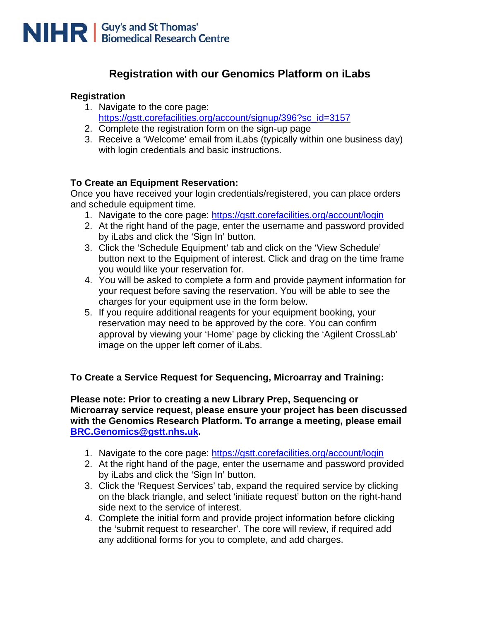

## **Registration with our Genomics Platform on iLabs**

#### **Registration**

- 1. Navigate to the core page: [https://gstt.corefacilities.org/account/signup/396?sc\\_id=3157](https://gstt.corefacilities.org/account/signup/396?sc_id=3157)
- 2. Complete the registration form on the sign-up page
- 3. Receive a 'Welcome' email from iLabs (typically within one business day) with login credentials and basic instructions.

### **To Create an Equipment Reservation:**

Once you have received your login credentials/registered, you can place orders and schedule equipment time.

- 1. Navigate to the core page: <https://gstt.corefacilities.org/account/login>
- 2. At the right hand of the page, enter the username and password provided by iLabs and click the 'Sign In' button.
- 3. Click the 'Schedule Equipment' tab and click on the 'View Schedule' button next to the Equipment of interest. Click and drag on the time frame you would like your reservation for.
- 4. You will be asked to complete a form and provide payment information for your request before saving the reservation. You will be able to see the charges for your equipment use in the form below.
- 5. If you require additional reagents for your equipment booking, your reservation may need to be approved by the core. You can confirm approval by viewing your 'Home' page by clicking the 'Agilent CrossLab' image on the upper left corner of iLabs.

#### **To Create a Service Request for Sequencing, Microarray and Training:**

**Please note: Prior to creating a new Library Prep, Sequencing or Microarray service request, please ensure your project has been discussed with the Genomics Research Platform. To arrange a meeting, please email [BRC.Genomics@gstt.nhs.uk.](mailto:BRC.Genomics@gstt.nhs.uk)**

- 1. Navigate to the core page: <https://gstt.corefacilities.org/account/login>
- 2. At the right hand of the page, enter the username and password provided by iLabs and click the 'Sign In' button.
- 3. Click the 'Request Services' tab, expand the required service by clicking on the black triangle, and select 'initiate request' button on the right-hand side next to the service of interest.
- 4. Complete the initial form and provide project information before clicking the 'submit request to researcher'. The core will review, if required add any additional forms for you to complete, and add charges.